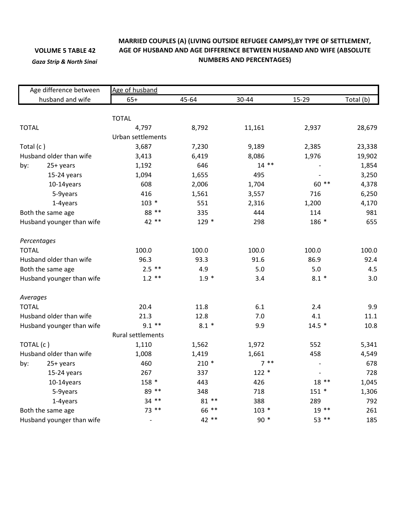## **VOLUME 5 TABLE 42**

*Gaza Strip & North Sinai*

## **MARRIED COUPLES (A) (LIVING OUTSIDE REFUGEE CAMPS),BY TYPE OF SETTLEMENT, AGE OF HUSBAND AND AGE DIFFERENCE BETWEEN HUSBAND AND WIFE (ABSOLUTE NUMBERS AND PERCENTAGES)**

| Age difference between<br>husband and wife |             | Age of husband    |         |         |         |           |  |  |
|--------------------------------------------|-------------|-------------------|---------|---------|---------|-----------|--|--|
|                                            |             | $65+$             | 45-64   | 30-44   | 15-29   | Total (b) |  |  |
|                                            |             |                   |         |         |         |           |  |  |
|                                            |             | <b>TOTAL</b>      |         |         |         |           |  |  |
| <b>TOTAL</b>                               |             | 4,797             | 8,792   | 11,161  | 2,937   | 28,679    |  |  |
|                                            |             | Urban settlements |         |         |         |           |  |  |
| Total (c)                                  |             | 3,687             | 7,230   | 9,189   | 2,385   | 23,338    |  |  |
| Husband older than wife                    |             | 3,413             | 6,419   | 8,086   | 1,976   | 19,902    |  |  |
| by:                                        | 25+ years   | 1,192             | 646     | $14$ ** |         | 1,854     |  |  |
|                                            | 15-24 years | 1,094             | 1,655   | 495     |         | 3,250     |  |  |
|                                            | 10-14years  | 608               | 2,006   | 1,704   | 60 **   | 4,378     |  |  |
|                                            | 5-9years    | 416               | 1,561   | 3,557   | 716     | 6,250     |  |  |
|                                            | 1-4years    | $103 *$           | 551     | 2,316   | 1,200   | 4,170     |  |  |
| Both the same age                          |             | 88 **             | 335     | 444     | 114     | 981       |  |  |
| Husband younger than wife                  |             | 42 **             | $129 *$ | 298     | 186 *   | 655       |  |  |
|                                            | Percentages |                   |         |         |         |           |  |  |
| <b>TOTAL</b>                               |             | 100.0             | 100.0   | 100.0   | 100.0   | 100.0     |  |  |
| Husband older than wife                    |             | 96.3              | 93.3    | 91.6    | 86.9    | 92.4      |  |  |
| Both the same age                          |             | $2.5$ **          | 4.9     | 5.0     | 5.0     | 4.5       |  |  |
| Husband younger than wife                  |             | $1.2$ **          | $1.9 *$ | 3.4     | $8.1 *$ | 3.0       |  |  |
| Averages                                   |             |                   |         |         |         |           |  |  |
| <b>TOTAL</b>                               |             | 20.4              | 11.8    | 6.1     | 2.4     | 9.9       |  |  |
| Husband older than wife                    |             | 21.3              | 12.8    | 7.0     | 4.1     | 11.1      |  |  |
| Husband younger than wife                  |             | $9.1$ **          | $8.1*$  | 9.9     | $14.5*$ | 10.8      |  |  |
|                                            |             | Rural settlements |         |         |         |           |  |  |
| TOTAL (c)                                  |             | 1,110             | 1,562   | 1,972   | 552     | 5,341     |  |  |
| Husband older than wife                    |             | 1,008             | 1,419   | 1,661   | 458     | 4,549     |  |  |
| by:                                        | 25+ years   | 460               | $210*$  | $7 * *$ |         | 678       |  |  |
|                                            | 15-24 years | 267               | 337     | $122 *$ |         | 728       |  |  |
|                                            | 10-14years  | 158 *             | 443     | 426     | $18**$  | 1,045     |  |  |
|                                            | 5-9years    | 89 **             | 348     | 718     | $151 *$ | 1,306     |  |  |
|                                            | 1-4years    | $34$ **           | 81 **   | 388     | 289     | 792       |  |  |
| Both the same age                          |             | 73 **             | 66 **   | $103 *$ | $19**$  | 261       |  |  |
| Husband younger than wife                  |             |                   | 42 **   | $90 *$  | 53 **   | 185       |  |  |